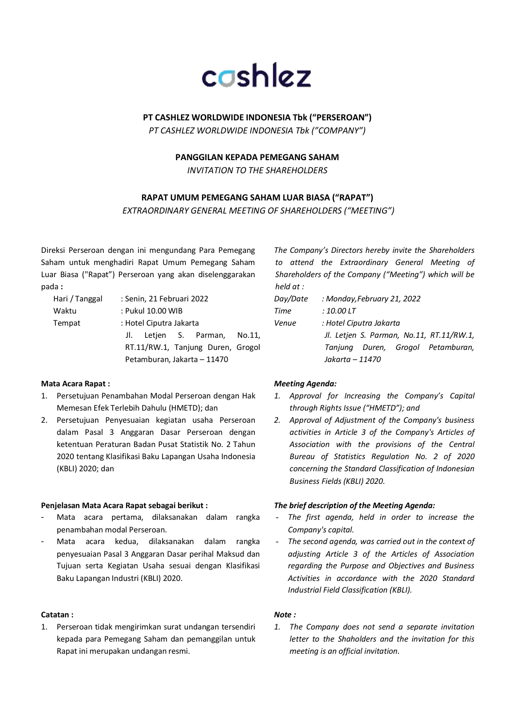

## **PT CASHLEZ WORLDWIDE INDONESIA Tbk ("PERSEROAN")**

*PT CASHLEZ WORLDWIDE INDONESIA Tbk ("COMPANY")*

## **PANGGILAN KEPADA PEMEGANG SAHAM**

*INVITATION TO THE SHAREHOLDERS*

## **RAPAT UMUM PEMEGANG SAHAM LUAR BIASA ("RAPAT")**

*EXTRAORDINARY GENERAL MEETING OF SHAREHOLDERS ("MEETING")*

Direksi Perseroan dengan ini mengundang Para Pemegang Saham untuk menghadiri Rapat Umum Pemegang Saham Luar Biasa ("Rapat") Perseroan yang akan diselenggarakan pada **:**

| Hari / Tanggal | : Senin, 21 Februari 2022         |
|----------------|-----------------------------------|
| Waktu          | : Pukul 10.00 WIB                 |
| Tempat         | : Hotel Ciputra Jakarta           |
|                | J. Letjen S. Parman, No.11,       |
|                | RT.11/RW.1, Tanjung Duren, Grogol |
|                | Petamburan, Jakarta - 11470       |

### **Mata Acara Rapat :**

- 1. Persetujuan Penambahan Modal Perseroan dengan Hak Memesan Efek Terlebih Dahulu (HMETD); dan
- 2. Persetujuan Penyesuaian kegiatan usaha Perseroan dalam Pasal 3 Anggaran Dasar Perseroan dengan ketentuan Peraturan Badan Pusat Statistik No. 2 Tahun 2020 tentang Klasifikasi Baku Lapangan Usaha Indonesia (KBLI) 2020; dan

### **Penjelasan Mata Acara Rapat sebagai berikut :**

- Mata acara pertama, dilaksanakan dalam rangka penambahan modal Perseroan.
- Mata acara kedua, dilaksanakan dalam rangka penyesuaian Pasal 3 Anggaran Dasar perihal Maksud dan Tujuan serta Kegiatan Usaha sesuai dengan Klasifikasi Baku Lapangan Industri (KBLI) 2020.

#### **Catatan :**

1. Perseroan tidak mengirimkan surat undangan tersendiri kepada para Pemegang Saham dan pemanggilan untuk Rapat ini merupakan undangan resmi.

*The Company's Directors hereby invite the Shareholders to attend the Extraordinary General Meeting of Shareholders of the Company ("Meeting") which will be held at :*

*Day/Date : Monday,February 21, 2022 Time : 10.00 LT Venue : Hotel Ciputra Jakarta Jl. Letjen S. Parman, No.11, RT.11/RW.1, Tanjung Duren, Grogol Petamburan, Jakarta – 11470*

### *Meeting Agenda:*

- *1. Approval for Increasing the Company's Capital through Rights Issue ("HMETD"); and*
- *2. Approval of Adjustment of the Company's business activities in Article 3 of the Company's Articles of Association with the provisions of the Central Bureau of Statistics Regulation No. 2 of 2020 concerning the Standard Classification of Indonesian Business Fields (KBLI) 2020.*

### *The brief description of the Meeting Agenda:*

- *The first agenda, held in order to increase the Company's capital.*
- The second agenda, was carried out in the context of *adjusting Article 3 of the Articles of Association regarding the Purpose and Objectives and Business Activities in accordance with the 2020 Standard Industrial Field Classification (KBLI).*

#### *Note :*

*1. The Company does not send a separate invitation letter to the Shaholders and the invitation for this meeting is an official invitation.*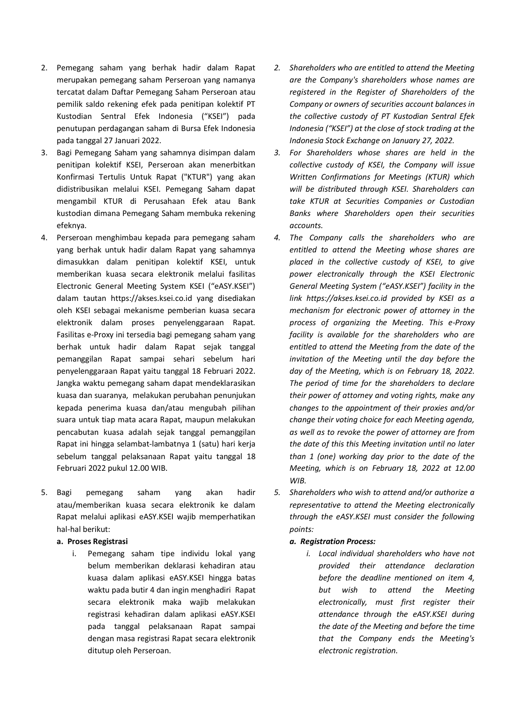- 2. Pemegang saham yang berhak hadir dalam Rapat merupakan pemegang saham Perseroan yang namanya tercatat dalam Daftar Pemegang Saham Perseroan atau pemilik saldo rekening efek pada penitipan kolektif PT Kustodian Sentral Efek Indonesia ("KSEI") pada penutupan perdagangan saham di Bursa Efek Indonesia pada tanggal 27 Januari 2022.
- 3. Bagi Pemegang Saham yang sahamnya disimpan dalam penitipan kolektif KSEI, Perseroan akan menerbitkan Konfirmasi Tertulis Untuk Rapat ("KTUR") yang akan didistribusikan melalui KSEI. Pemegang Saham dapat mengambil KTUR di Perusahaan Efek atau Bank kustodian dimana Pemegang Saham membuka rekening efeknya.
- 4. Perseroan menghimbau kepada para pemegang saham yang berhak untuk hadir dalam Rapat yang sahamnya dimasukkan dalam penitipan kolektif KSEI, untuk memberikan kuasa secara elektronik melalui fasilitas Electronic General Meeting System KSEI ("eASY.KSEI") dalam tautan https://akses.ksei.co.id yang disediakan oleh KSEI sebagai mekanisme pemberian kuasa secara elektronik dalam proses penyelenggaraan Rapat. Fasilitas e-Proxy ini tersedia bagi pemegang saham yang berhak untuk hadir dalam Rapat sejak tanggal pemanggilan Rapat sampai sehari sebelum hari penyelenggaraan Rapat yaitu tanggal 18 Februari 2022. Jangka waktu pemegang saham dapat mendeklarasikan kuasa dan suaranya, melakukan perubahan penunjukan kepada penerima kuasa dan/atau mengubah pilihan suara untuk tiap mata acara Rapat, maupun melakukan pencabutan kuasa adalah sejak tanggal pemanggilan Rapat ini hingga selambat-lambatnya 1 (satu) hari kerja sebelum tanggal pelaksanaan Rapat yaitu tanggal 18 Februari 2022 pukul 12.00 WIB.
- 5. Bagi pemegang saham yang akan hadir atau/memberikan kuasa secara elektronik ke dalam Rapat melalui aplikasi eASY.KSEI wajib memperhatikan hal-hal berikut:
	- **a. Proses Registrasi**
		- i. Pemegang saham tipe individu lokal yang belum memberikan deklarasi kehadiran atau kuasa dalam aplikasi eASY.KSEI hingga batas waktu pada butir 4 dan ingin menghadiri Rapat secara elektronik maka wajib melakukan registrasi kehadiran dalam aplikasi eASY.KSEI pada tanggal pelaksanaan Rapat sampai dengan masa registrasi Rapat secara elektronik ditutup oleh Perseroan.
- *2. Shareholders who are entitled to attend the Meeting are the Company's shareholders whose names are registered in the Register of Shareholders of the Company or owners of securities account balances in the collective custody of PT Kustodian Sentral Efek Indonesia ("KSEI") at the close of stock trading at the Indonesia Stock Exchange on January 27, 2022.*
- *3. For Shareholders whose shares are held in the collective custody of KSEI, the Company will issue Written Confirmations for Meetings (KTUR) which will be distributed through KSEI. Shareholders can take KTUR at Securities Companies or Custodian Banks where Shareholders open their securities accounts.*
- *4. The Company calls the shareholders who are entitled to attend the Meeting whose shares are placed in the collective custody of KSEI, to give power electronically through the KSEI Electronic General Meeting System ("eASY.KSEI") facility in the link https://akses.ksei.co.id provided by KSEI as a mechanism for electronic power of attorney in the process of organizing the Meeting. This e-Proxy facility is available for the shareholders who are entitled to attend the Meeting from the date of the invitation of the Meeting until the day before the day of the Meeting, which is on February 18, 2022. The period of time for the shareholders to declare their power of attorney and voting rights, make any changes to the appointment of their proxies and/or change their voting choice for each Meeting agenda, as well as to revoke the power of attorney are from the date of this this Meeting invitation until no later than 1 (one) working day prior to the date of the Meeting, which is on February 18, 2022 at 12.00 WIB.*
- *5. Shareholders who wish to attend and/or authorize a representative to attend the Meeting electronically through the eASY.KSEI must consider the following points:*

#### *a. Registration Process:*

*i. Local individual shareholders who have not provided their attendance declaration before the deadline mentioned on item 4, but wish to attend the Meeting electronically, must first register their attendance through the eASY.KSEI during the date of the Meeting and before the time that the Company ends the Meeting's electronic registration.*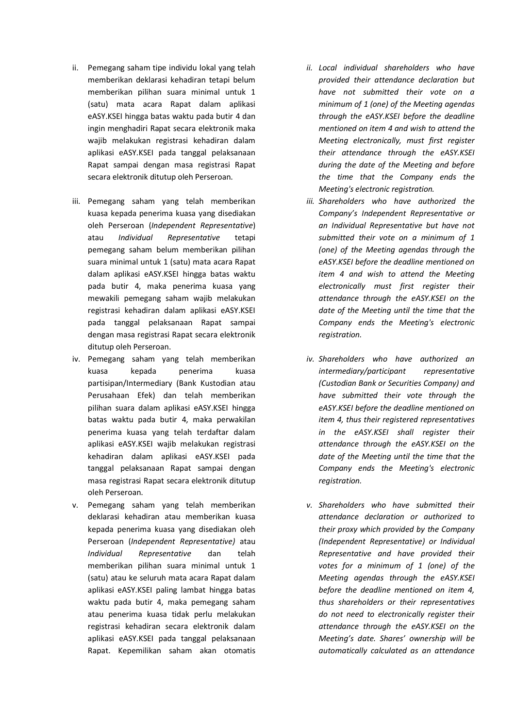- ii. Pemegang saham tipe individu lokal yang telah memberikan deklarasi kehadiran tetapi belum memberikan pilihan suara minimal untuk 1 (satu) mata acara Rapat dalam aplikasi eASY.KSEI hingga batas waktu pada butir 4 dan ingin menghadiri Rapat secara elektronik maka wajib melakukan registrasi kehadiran dalam aplikasi eASY.KSEI pada tanggal pelaksanaan Rapat sampai dengan masa registrasi Rapat secara elektronik ditutup oleh Perseroan.
- iii. Pemegang saham yang telah memberikan kuasa kepada penerima kuasa yang disediakan oleh Perseroan (*Independent Representative*) atau *Individual Representative* tetapi pemegang saham belum memberikan pilihan suara minimal untuk 1 (satu) mata acara Rapat dalam aplikasi eASY.KSEI hingga batas waktu pada butir 4, maka penerima kuasa yang mewakili pemegang saham wajib melakukan registrasi kehadiran dalam aplikasi eASY.KSEI pada tanggal pelaksanaan Rapat sampai dengan masa registrasi Rapat secara elektronik ditutup oleh Perseroan.
- iv. Pemegang saham yang telah memberikan kuasa kepada penerima kuasa partisipan/Intermediary (Bank Kustodian atau Perusahaan Efek) dan telah memberikan pilihan suara dalam aplikasi eASY.KSEI hingga batas waktu pada butir 4, maka perwakilan penerima kuasa yang telah terdaftar dalam aplikasi eASY.KSEI wajib melakukan registrasi kehadiran dalam aplikasi eASY.KSEI pada tanggal pelaksanaan Rapat sampai dengan masa registrasi Rapat secara elektronik ditutup oleh Perseroan.
- v. Pemegang saham yang telah memberikan deklarasi kehadiran atau memberikan kuasa kepada penerima kuasa yang disediakan oleh Perseroan (*Independent Representative)* atau *Individual Representative* dan telah memberikan pilihan suara minimal untuk 1 (satu) atau ke seluruh mata acara Rapat dalam aplikasi eASY.KSEI paling lambat hingga batas waktu pada butir 4, maka pemegang saham atau penerima kuasa tidak perlu melakukan registrasi kehadiran secara elektronik dalam aplikasi eASY.KSEI pada tanggal pelaksanaan Rapat. Kepemilikan saham akan otomatis
- *ii. Local individual shareholders who have provided their attendance declaration but have not submitted their vote on a minimum of 1 (one) of the Meeting agendas through the eASY.KSEI before the deadline mentioned on item 4 and wish to attend the Meeting electronically, must first register their attendance through the eASY.KSEI during the date of the Meeting and before the time that the Company ends the Meeting's electronic registration.*
- *iii. Shareholders who have authorized the Company's Independent Representative or an Individual Representative but have not submitted their vote on a minimum of 1 (one) of the Meeting agendas through the eASY.KSEI before the deadline mentioned on item 4 and wish to attend the Meeting electronically must first register their attendance through the eASY.KSEI on the date of the Meeting until the time that the Company ends the Meeting's electronic registration.*
- *iv. Shareholders who have authorized an intermediary/participant representative (Custodian Bank or Securities Company) and have submitted their vote through the eASY.KSEI before the deadline mentioned on item 4, thus their registered representatives in the eASY.KSEI shall register their attendance through the eASY.KSEI on the date of the Meeting until the time that the Company ends the Meeting's electronic registration.*
- *v. Shareholders who have submitted their attendance declaration or authorized to their proxy which provided by the Company (Independent Representative) or Individual Representative and have provided their votes for a minimum of 1 (one) of the Meeting agendas through the eASY.KSEI before the deadline mentioned on item 4, thus shareholders or their representatives do not need to electronically register their attendance through the eASY.KSEI on the Meeting's date. Shares' ownership will be automatically calculated as an attendance*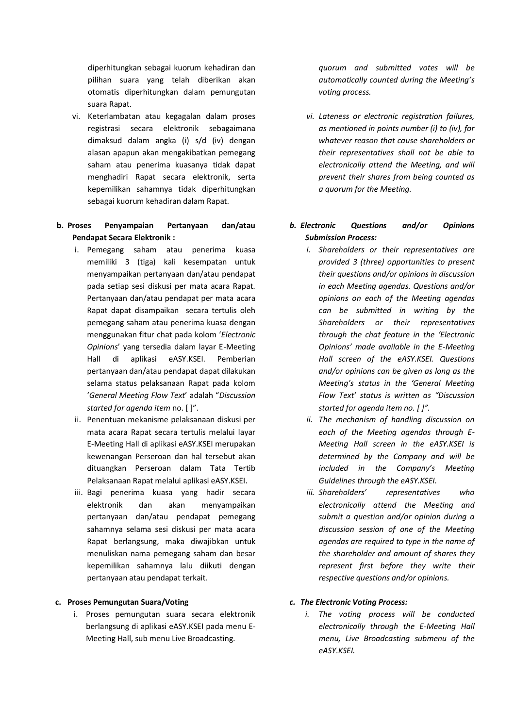diperhitungkan sebagai kuorum kehadiran dan pilihan suara yang telah diberikan akan otomatis diperhitungkan dalam pemungutan suara Rapat.

vi. Keterlambatan atau kegagalan dalam proses registrasi secara elektronik sebagaimana dimaksud dalam angka (i) s/d (iv) dengan alasan apapun akan mengakibatkan pemegang saham atau penerima kuasanya tidak dapat menghadiri Rapat secara elektronik, serta kepemilikan sahamnya tidak diperhitungkan sebagai kuorum kehadiran dalam Rapat.

## **b. Proses Penyampaian Pertanyaan dan/atau Pendapat Secara Elektronik :**

- i. Pemegang saham atau penerima kuasa memiliki 3 (tiga) kali kesempatan untuk menyampaikan pertanyaan dan/atau pendapat pada setiap sesi diskusi per mata acara Rapat. Pertanyaan dan/atau pendapat per mata acara Rapat dapat disampaikan secara tertulis oleh pemegang saham atau penerima kuasa dengan menggunakan fitur chat pada kolom '*Electronic Opinions*' yang tersedia dalam layar E-Meeting Hall di aplikasi eASY.KSEI. Pemberian pertanyaan dan/atau pendapat dapat dilakukan selama status pelaksanaan Rapat pada kolom '*General Meeting Flow Text*' adalah "*Discussion started for agenda item* no. [ ]".
- ii. Penentuan mekanisme pelaksanaan diskusi per mata acara Rapat secara tertulis melalui layar E-Meeting Hall di aplikasi eASY.KSEI merupakan kewenangan Perseroan dan hal tersebut akan dituangkan Perseroan dalam Tata Tertib Pelaksanaan Rapat melalui aplikasi eASY.KSEI.
- iii. Bagi penerima kuasa yang hadir secara elektronik dan akan menyampaikan pertanyaan dan/atau pendapat pemegang sahamnya selama sesi diskusi per mata acara Rapat berlangsung, maka diwajibkan untuk menuliskan nama pemegang saham dan besar kepemilikan sahamnya lalu diikuti dengan pertanyaan atau pendapat terkait.

### **c. Proses Pemungutan Suara/Voting**

i. Proses pemungutan suara secara elektronik berlangsung di aplikasi eASY.KSEI pada menu E-Meeting Hall, sub menu Live Broadcasting.

*quorum and submitted votes will be automatically counted during the Meeting's voting process.*

*vi. Lateness or electronic registration failures, as mentioned in points number (i) to (iv), for whatever reason that cause shareholders or their representatives shall not be able to electronically attend the Meeting, and will prevent their shares from being counted as a quorum for the Meeting.*

# *b. Electronic Questions and/or Opinions Submission Process:*

- *i. Shareholders or their representatives are provided 3 (three) opportunities to present their questions and/or opinions in discussion in each Meeting agendas. Questions and/or opinions on each of the Meeting agendas can be submitted in writing by the Shareholders or their representatives through the chat feature in the 'Electronic Opinions' made available in the E-Meeting Hall screen of the eASY.KSEI. Questions and/or opinions can be given as long as the Meeting's status in the 'General Meeting Flow Text' status is written as "Discussion started for agenda item no. [ ]".*
- *ii. The mechanism of handling discussion on each of the Meeting agendas through E-Meeting Hall screen in the eASY.KSEI is determined by the Company and will be included in the Company's Meeting Guidelines through the eASY.KSEI.*
- *iii. Shareholders' representatives who electronically attend the Meeting and submit a question and/or opinion during a discussion session of one of the Meeting agendas are required to type in the name of the shareholder and amount of shares they represent first before they write their respective questions and/or opinions.*
- *c. The Electronic Voting Process:*
	- *i. The voting process will be conducted electronically through the E-Meeting Hall menu, Live Broadcasting submenu of the eASY.KSEI.*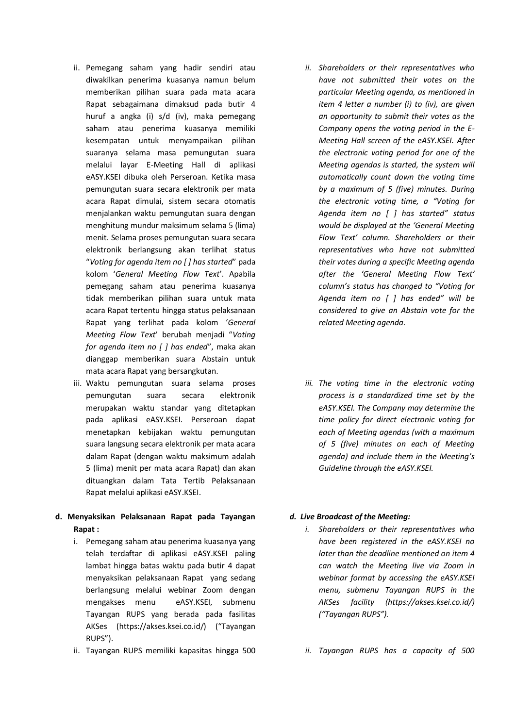- ii. Pemegang saham yang hadir sendiri atau diwakilkan penerima kuasanya namun belum memberikan pilihan suara pada mata acara Rapat sebagaimana dimaksud pada butir 4 huruf a angka (i) s/d (iv), maka pemegang saham atau penerima kuasanya memiliki kesempatan untuk menyampaikan pilihan suaranya selama masa pemungutan suara melalui layar E-Meeting Hall di aplikasi eASY.KSEI dibuka oleh Perseroan. Ketika masa pemungutan suara secara elektronik per mata acara Rapat dimulai, sistem secara otomatis menjalankan waktu pemungutan suara dengan menghitung mundur maksimum selama 5 (lima) menit. Selama proses pemungutan suara secara elektronik berlangsung akan terlihat status "*Voting for agenda item no [ ] has started*" pada kolom '*General Meeting Flow Text*'. Apabila pemegang saham atau penerima kuasanya tidak memberikan pilihan suara untuk mata acara Rapat tertentu hingga status pelaksanaan Rapat yang terlihat pada kolom '*General Meeting Flow Text*' berubah menjadi "*Voting for agenda item no [ ] has ended*", maka akan dianggap memberikan suara Abstain untuk mata acara Rapat yang bersangkutan.
- iii. Waktu pemungutan suara selama proses pemungutan suara secara elektronik merupakan waktu standar yang ditetapkan pada aplikasi eASY.KSEI. Perseroan dapat menetapkan kebijakan waktu pemungutan suara langsung secara elektronik per mata acara dalam Rapat (dengan waktu maksimum adalah 5 (lima) menit per mata acara Rapat) dan akan dituangkan dalam Tata Tertib Pelaksanaan Rapat melalui aplikasi eASY.KSEI.
- **d. Menyaksikan Pelaksanaan Rapat pada Tayangan Rapat :**
	- i. Pemegang saham atau penerima kuasanya yang telah terdaftar di aplikasi eASY.KSEI paling lambat hingga batas waktu pada butir 4 dapat menyaksikan pelaksanaan Rapat yang sedang berlangsung melalui webinar Zoom dengan mengakses menu eASY.KSEI, submenu Tayangan RUPS yang berada pada fasilitas AKSes (https://akses.ksei.co.id/) ("Tayangan RUPS").
	- ii. Tayangan RUPS memiliki kapasitas hingga 500
- *ii. Shareholders or their representatives who have not submitted their votes on the particular Meeting agenda, as mentioned in item 4 letter a number (i) to (iv), are given an opportunity to submit their votes as the Company opens the voting period in the E-Meeting Hall screen of the eASY.KSEI. After the electronic voting period for one of the Meeting agendas is started, the system will automatically count down the voting time by a maximum of 5 (five) minutes. During the electronic voting time, a "Voting for Agenda item no [ ] has started" status would be displayed at the 'General Meeting Flow Text' column. Shareholders or their representatives who have not submitted their votes during a specific Meeting agenda after the 'General Meeting Flow Text' column's status has changed to "Voting for Agenda item no [ ] has ended" will be considered to give an Abstain vote for the related Meeting agenda.*
- *iii. The voting time in the electronic voting process is a standardized time set by the eASY.KSEI. The Company may determine the time policy for direct electronic voting for each of Meeting agendas (with a maximum of 5 (five) minutes on each of Meeting agenda) and include them in the Meeting's Guideline through the eASY.KSEI.*

#### *d. Live Broadcast of the Meeting:*

- *i. Shareholders or their representatives who have been registered in the eASY.KSEI no later than the deadline mentioned on item 4 can watch the Meeting live via Zoom in webinar format by accessing the eASY.KSEI menu, submenu Tayangan RUPS in the AKSes facility (https://akses.ksei.co.id/) ("Tayangan RUPS").*
- *ii. Tayangan RUPS has a capacity of 500*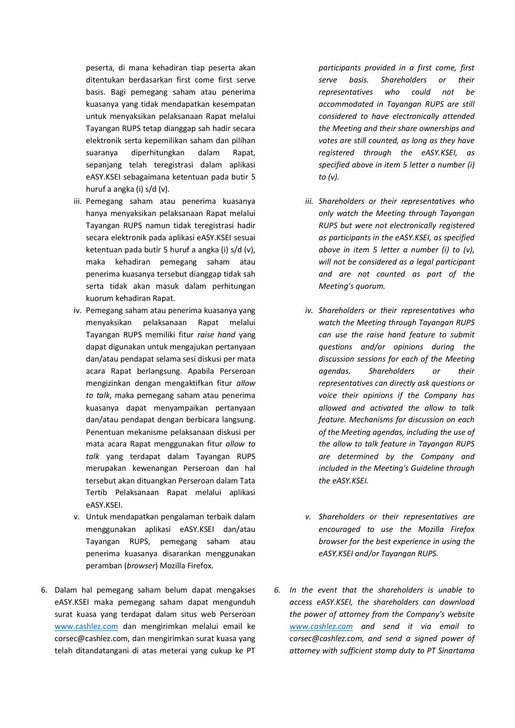peserta, di mana kehadiran tiap peserta akan ditentukan berdasarkan first come first serve basis. Bagi pemegang saham atau penerima kuasanya yang tidak mendapatkan kesempatan untuk menyaksikan pelaksanaan Rapat melalui Tayangan RUPS tetap dianggap sah hadir secara elektronik serta kepemilikan saham dan pilihan suaranya diperhitungkan dalam Rapat, sepanjang telah teregistrasi dalam aplikasi eASY.KSEI sebagaimana ketentuan pada butir 5 huruf a angka (i) s/d (v).

- iii. Pemegang saham atau penerima kuasanya hanya menyaksikan pelaksanaan Rapat melalui Tayangan RUPS namun tidak teregistrasi hadir secara elektronik pada aplikasi eASY.KSEI sesuai ketentuan pada butir 5 huruf a angka (i) s/d (v), maka kehadiran pemegang saham atau penerima kuasanya tersebut dianggap tidak sah serta tidak akan masuk dalam perhitungan kuorum kehadiran Rapat.
- iv. Pemegang saham atau penerima kuasanya yang menyaksikan pelaksanaan Rapat melalui Tayangan RUPS memiliki fitur *raise hand* yang dapat digunakan untuk mengajukan pertanyaan dan/atau pendapat selama sesi diskusi per mata acara Rapat berlangsung. Apabila Perseroan mengizinkan dengan mengaktifkan fitur *allow to talk*, maka pemegang saham atau penerima kuasanya dapat menyampaikan pertanyaan dan/atau pendapat dengan berbicara langsung. Penentuan mekanisme pelaksanaan diskusi per mata acara Rapat menggunakan fitur *allow to talk* yang terdapat dalam Tayangan RUPS merupakan kewenangan Perseroan dan hal tersebut akan dituangkan Perseroan dalam Tata Tertib Pelaksanaan Rapat melalui aplikasi eASY.KSEI.
- v. Untuk mendapatkan pengalaman terbaik dalam menggunakan aplikasi eASY.KSEI dan/atau Tayangan RUPS, pemegang saham atau penerima kuasanya disarankan menggunakan peramban (*browser*) Mozilla Firefox.
- 6. Dalam hal pemegang saham belum dapat mengakses eASY.KSEI maka pemegang saham dapat mengunduh surat kuasa yang terdapat dalam situs web Perseroan [www.cashlez.com](http://www.cashlez.com/) dan mengirimkan melalui email ke corsec@cashlez.com, dan mengirimkan surat kuasa yang telah ditandatangani di atas meterai yang cukup ke PT

*participants provided in a first come, first serve basis. Shareholders or their representatives who could not be accommodated in Tayangan RUPS are still considered to have electronically attended the Meeting and their share ownerships and votes are still counted, as long as they have registered through the eASY.KSEI, as specified above in item 5 letter a number (i) to (v).*

- *iii. Shareholders or their representatives who only watch the Meeting through Tayangan RUPS but were not electronically registered as participants in the eASY.KSEI, as specified above in item 5 letter a number (i) to (v), will not be considered as a legal participant and are not counted as part of the Meeting's quorum.*
- *iv. Shareholders or their representatives who watch the Meeting through Tayangan RUPS can use the raise hand feature to submit questions and/or opinions during the discussion sessions for each of the Meeting agendas. Shareholders or their representatives can directly ask questions or voice their opinions if the Company has allowed and activated the allow to talk feature. Mechanisms for discussion on each of the Meeting agendas, including the use of the allow to talk feature in Tayangan RUPS are determined by the Company and included in the Meeting's Guideline through the eASY.KSEI.*
- *v. Shareholders or their representatives are encouraged to use the Mozilla Firefox browser for the best experience in using the eASY.KSEI and/or Tayangan RUPS.*
- *6. In the event that the shareholders is unable to access eASY.KSEI, the shareholders can download the power of attorney from the Company's website [www.cashlez.com](http://www.cashlez.com/) and send it via email to corsec@cashlez.com, and send a signed power of attorney with sufficient stamp duty to PT Sinartama*